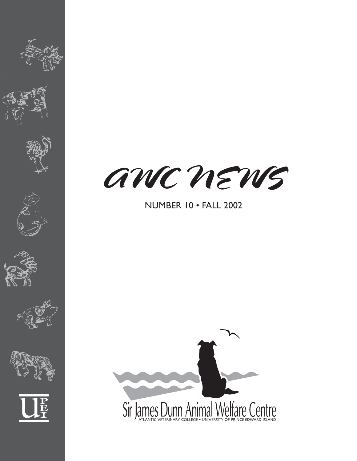











# NUMBER 10 • FALL 2002

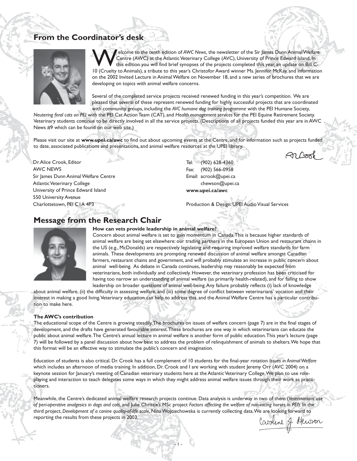# **From the Coordinator's desk**



Elecome to the tenth edition of *AWC News*, the newsletter of the Sir James Dunn Animal Welfare<br>Centre (AWC) at the Atlantic Veterinary College (AVC), University of Prince Edward Island. In<br>this edition you will find brief Centre (AWC) at the Atlantic Veterinary College (AVC), University of Prince Edward Island. In this edition you will find brief synopses of the projects completed this year, an update on Bill C-10 (Cruelty to Animals), a tribute to this year's Christofor Award winner Ms. Jennifer McKay, and information on the 2002 Invited Lecture in Animal Welfare on November 18, and a new series of brochures that we are developing on topics with animal welfare concerns.

Several of the completed service projects received renewed funding in this year's competition. We are pleased that several of these represent renewed funding for highly successful projects that are coordinated with community groups, including the *AVC humane dog training programme* with the PEI Humane Society,

*Neutering feral cats on PEI* with the PEI Cat Action Team (CAT), and *Health management services* for the PEI Equine Retirement Society. Veterinary students continue to be directly involved in all the service projects. (Descriptions of all projects funded this year are in AWC News #9 which can be found on our web site.)

Please visit our site at **www.upei.ca/awc** to find out about upcoming events at the Centre, and for information such as projects funded to date, associated publications and presentations, and animal welfare resources at the UPEI library.

Dr. Alice Crook, Editor AWC NEWS Sir James Dunn Animal Welfare Centre Atlantic Veterinary College University of Prince Edward Island 550 University Avenue Charlottetown, PEI C1A 4P3

Tel: (902) 628-4360 Fax: (902) 566-0958 Email: acrook@upei.ca chewson@upei.ca **www.upei.ca/awc**

Production & Design: UPEI Audio Visual Services

# **Message from the Research Chair**



**How can vets provide leadership in animal welfare?**

Concern about animal welfare is set to gain momentum in Canada. This is because higher standards of animal welfare are being set elsewhere: our trading partners in the European Union and restaurant chains in the US (e.g., McDonalds) are respectively legislating and requiring improved welfare standards for farm animals. These developments are prompting renewed discussion of animal welfare amongst Canadian farmers, restaurant chains and government, and will probably stimulate an increase in public concern about animal well-being. As debate in Canada continues, leadership may reasonably be expected from veterinarians, both individually and collectively. However, the veterinary profession has been criticised for having too narrow an understanding of animal welfare (as primarily health-related), and for failing to show leadership on broader questions of animal well-being. Any failure probably reflects (i) lack of knowledge

about animal welfare, (ii) the difficulty in assessing welfare, and (iii) some degree of conflict between veterinarians' vocation and their interest in making a good living. Veterinary education can help to address this, and the Animal Welfare Centre has a particular contribution to make here.

#### **The AWC's contribution**

The educational scope of the Centre is growing steadily. The brochures on issues of welfare concern (page 7) are in the final stages of development, and the drafts have generated favourable interest. These brochures are one way in which veterinarians can educate the public about animal welfare. The Centre's annual lecture in animal welfare is another form of public education. This year's lecture (page 7) will be followed by a panel discussion about how best to address the problem of relinquishment of animals to shelters. We hope that this format will be an effective way to stimulate the public's concern and imagination.

Education of students is also critical. Dr. Crook has a full complement of 10 students for the final-year rotation *Issues in Animal Welfare* which includes an afternoon of media training. In addition, Dr. Crook and I are working with student Jeremy Orr (AVC 2004) on a keynote session for January's meeting of Canadian veterinary students here at the Atlantic Veterinary College. We plan to use roleplaying and interaction to teach delegates some ways in which they might address animal welfare issues through their work as practitioners.

Meanwhile, the Centre's dedicated animal welfare research projects continue. Data analysis is underway in two of them (*Veterinarians' use of peri-operative analgesics in dogs and cats*, and Julie Christie's MSc project *Factors affecting the welfare of non-racing horses in PEI*). In the third project, *Development of a canine quality-of-life scale*, Nina Wojciechowska is currently collecting data. We are looking forward to reporting the results from these projects in 2003.

- 1 -

Caroline & Hewson

Arbook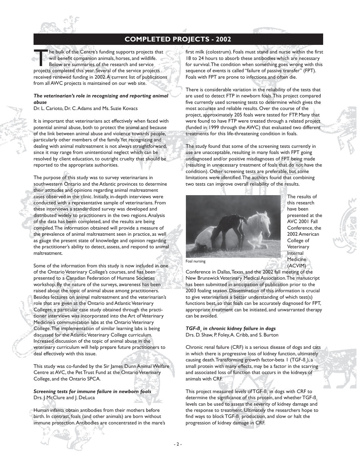

# **COMPLETED PROJECTS - 2002**

The bulk of the Centre's funding supports projects that will benefit companion animals, horses, and wildlife.<br>Below are summaries of the research and service projects completed this year. Several of the service projects will benefit companion animals, horses, and wildlife. Below are summaries of the research and service received renewed funding in 2002. A current list of publications from all AWC projects is maintained on our web site.

#### *The veterinarian's role in recognizing and reporting animal abuse*

Dr. L. Carioto, Dr. C. Adams and Ms. Suzie Kovacs

It is important that veterinarians act effectively when faced with potential animal abuse, both to protect the animal and because of the link between animal abuse and violence towards people, particularly other members of the family. Yet recognizing and dealing with animal maltreatment is not always straightforward, since it may range from unintentional neglect which can be resolved by client education, to outright cruelty that should be reported to the appropriate authorities.

The purpose of this study was to survey veterinarians in southwestern Ontario and the Atlantic provinces to determine their attitudes and opinions regarding animal maltreatment cases observed in the clinic. Initially, in-depth interviews were conducted with a representative sample of veterinarians. From these interviews a standardized survey was developed and distributed widely to practitioners in the two regions. Analysis of the data has been completed, and the results are being compiled. The information obtained will provide a measure of the prevalence of animal maltreatment seen in practice, as well as gauge the present state of knowledge and opinion regarding the practitioner's ability to detect, assess, and respond to animal maltreatment.

Some of the information from this study is now included in one of the Ontario Veterinary College's courses, and has been presented to a Canadian Federation of Humane Societies workshop. By the nature of the surveys, awareness has been raised about the topic of animal abuse among practitioners. Besides lectures on animal maltreatment and the veterinarian's role that are given at the Ontario and Atlantic Veterinary Colleges, a particular case study obtained through the practitioner interviews was incorporated into the Art of Veterinary Medicine's communication labs at the Ontario Veterinary College. The implementation of similar learning labs is being discussed for the Atlantic Veterinary College curriculum. Increased discussion of the topic of animal abuse in the veterinary curriculum will help prepare future practitioners to deal effectively with this issue.

This study was co-funded by the Sir James Dunn Animal Welfare Centre at AVC, the Pet Trust Fund at the Ontario Veterinary College, and the Ontario SPCA.

*Screening tests for immune failure in newborn foals* Drs. | McClure and | DeLuca

Human infants obtain antibodies from their mothers before birth. In contrast, foals (and other animals) are born without immune protection. Antibodies are concentrated in the mare's first milk (colostrum). Foals must stand and nurse within the first 18 to 24 hours to absorb these antibodies which are necessary for survival. The condition when something goes wrong with this sequence of events is called "failure of passive transfer" (FPT). Foals with FPT are prone to infections and often die.

There is considerable variation in the reliability of the tests that are used to detect FTP in newborn foals. This project compared five currently used screening tests to determine which gives the most accurate and reliable results. Over the course of the project, approximately 205 foals were tested for FTP. Many that were found to have FTP were treated through a related project (funded in 1999 through the AWC) that evaluated two different treatments for this life-threatening condition in foals.

The study found that some of the screening tests currently in use are unacceptable, resulting in many foals with FPT going undiagnosed and/or positive misdiagnoses of FPT being made (resulting in unnecessary treatment of foals that do not have the condition). Other screening tests are preferable, but some limitations were identified. The authors found that combining two tests can improve overall reliability of the results.



The results of this research have been presented at the AVC 2001 Fall Conference, the 2002 American College of **Veterinary** Internal Medicine (ACVIM)

Foal nursing

Conference in Dallas, Texas, and the 2002 fall meeting of the New Brunswick Veterinary Medical Association. The manuscript has been submitted in anticipation of publication prior to the 2003 foaling season. Dissemination of this information is crucial to give veterinarians a better understanding of which test(s) functions best, so that foals can be accurately diagnosed for FPT, appropriate treatment can be initiated, and unwarranted therapy can be avoided.

*TGF-ß1 in chronic kidney failure in dogs* Drs. D. Shaw, P. Foley, A. Cribb, and S. Burton

Chronic renal failure (CRF) is a serious disease of dogs and cats in which there is progressive loss of kidney function, ultimately causing death. Transforming growth factor-beta 1 (TGF-ß1 ), a small protein with many effects, may be a factor in the scarring and associated loss of function that occurs in the kidneys of animals with CRF.

This project measured levels of TGF-B $_{_{\rm I}}$  in dogs with CRF to determine the significance of this protein, and whether TGF-B, levels can be used to assess the severity of kidney damage and the response to treatment. Ultimately the researchers hope to find ways to block TGF- ${\mathsf B}_{\scriptscriptstyle \parallel}$  production, and slow or halt the progression of kidney damage in CRF.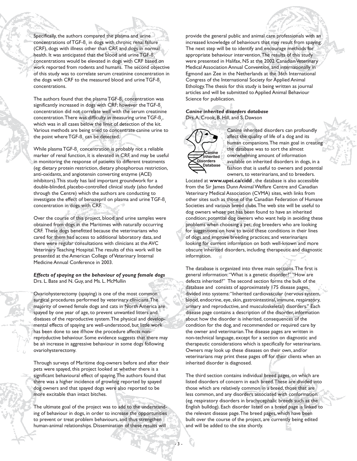Specifically, the authors compared the plasma and urine concentrations of TGF-B $_{_{\mathrm{I}}}$  in dogs with chronic renal failure (CRF), dogs with illness other than CRF, and dogs in normal health. It was anticipated that the blood and urine TGF-B<sub>1</sub> concentrations would be elevated in dogs with CRF based on work reported from rodents and humans. The second objective of this study was to correlate serum creatinine concentration in the dogs with CRF to the measured blood and urine TGF-B, concentrations.

The authors found that the plasma  $TGF\text{-}\mathrm{\mathsf{B}_1}$  concentration was significantly increased in dogs with CRF; however the TGF-B, concentration did not correlate well with the serum creatinine concentration. There was difficulty in measuring urine TGF-B<sub>1</sub>, which was in all cases below the limit of detection of the kit. Various methods are being tried to concentrate canine urine to the point where TGF-B, can be detected.

While plasma TGF-B $_{_{\mathrm{I}}}$  concentration is probably not a reliable marker of renal function, it is elevated in CRF, and may be useful in monitoring the response of patients to different treatments (eg: dietary protein restriction, dietary phosphorous restriction, anti-oxidants, and angiotensin converting enzyme (ACE) inhibitors). This study has laid important groundwork for a double-blinded, placebo-controlled clinical study (also funded through the Centre) which the authors are conducting to investigate the effect of benazepril on plasma and urine TGF-B. concentration in dogs with CRF.

Over the course of this project, blood and urine samples were obtained from dogs in the Maritimes with naturally occurring CRF. These dogs benefitted because the veterinarians who cared for them had access to additional laboratory data, and there were regular consultations with clinicians at the AVC Veterinary Teaching Hospital. The results of this work will be presented at the American College of Veterinary Internal Medicine Annual Conference in 2003.

#### *Effects of spaying on the behaviour of young female dogs* Drs. L. Bate and N. Guy, and Ms. L. McMullin

Ovariohysterectomy (spaying) is one of the most common surgical procedures performed by veterinary clinicians. The majority of owned female dogs and cats in North America are spayed by one year of age, to prevent unwanted litters and diseases of the reproductive system. The physical and developmental effects of spaying are well-understood, but little work has been done to see if/how the procedure affects nonreproductive behaviour. Some evidence suggests that there may be an increase in aggressive behaviour in some dogs following ovariohysterectomy.

Through surveys of Maritime dog-owners before and after their pets were spayed, this project looked at whether there is a significant behavioural effect of spaying. The authors found that there was a higher incidence of growling reported by spayed dog owners and that spayed dogs were also reported to be more excitable than intact bitches.

The ultimate goal of the project was to add to the understanding of behaviour in dogs, in order to increase the opportunities to prevent or treat problem behaviours, and thus strengthen human-animal relationships. Dissemination of these results will provide the general public and animal care professionals with an increased knowledge of behaviours that may result from spaying. The next step will be to identify and encourage methods for appropriate behaviour intervention. The results of this study were presented in Halifax, NS at the 2002 Canadian Veterinary Medical Association Annual Convention, and internationally in Egmond aan Zee in the Netherlands at the 36th International Congress of the International Society for Applied Animal Ethology. The thesis for this study is being written as journal articles and will be submitted to Applied Animal Behaviour Science for publication.

#### *Canine inherited disorders database* Drs. A. Crook, B. Hill, and S. Dawson



Canine inherited disorders can profoundly affect the quality of life of a dog and its human companions. The main goal in creating the database was to sort the almost overwhelming amount of information available on inherited disorders in dogs, in a fashion that is useful to owners and potential owners, to veterinarians, and to breeders.

Located at **www.upei.ca/cidd** , the database is also accessible from the Sir James Dunn Animal Welfare Centre and Canadian Veterinary Medical Association (CVMA) sites, with links from other sites such as those of the Canadian Federation of Humane Societies and various breed clubs. The web site will be useful to dog owners whose pet has been found to have an inherited condition; potential dog owners who want help in avoiding these problems when choosing a pet; dog breeders who are looking for suggestions on how to avoid these conditions in their lines of dogs and improve breeding practices; and veterinarians looking for current information on both well-known and more obscure inherited disorders, including therapeutic and diagnostic information.

The database is organized into three main sections. The first is general information: "What is a genetic disorder?" "How are defects inherited?" The second section forms the bulk of the database and consists of approximately 175 disease pages, divided into systems: "Inherited cardiovascular (nervous system, blood, endocrine, eye, skin, gastrointestinal, immune, respiratory, urinary and reproductive, and musculoskeletal) disorders." Each disease page contains a description of the disorder, information about how the disorder is inherited, consequences of the condition for the dog, and recommended or required care by the owner and veterinarian. The disease pages are written in non-technical language, except for a section on diagnostic and therapeutic considerations which is specifically for veterinarians. Owners may look up these diseases on their own, and/or veterinarians may print these pages off for their clients when an inherited disorder is diagnosed.

The third section contains individual breed pages, on which are listed disorders of concern in each breed. These are divided into those which are relatively common in a breed, those that are less common, and any disorders associated with conformation (eg. respiratory disorders in brachycephalic breeds such as the English bulldog). Each disorder listed on a breed page is linked to the relevant disease page. The breed pages, which have been built over the course of the project, are currently being edited and will be added to the site shortly.

- 3 -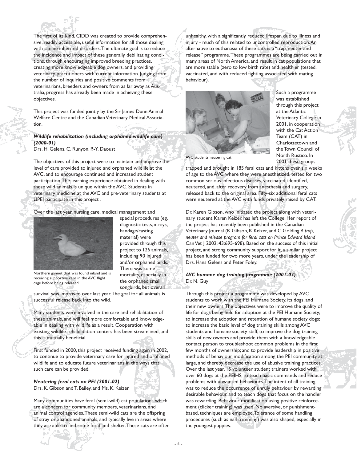

The first of its kind, CIDD was created to provide comprehensive, readily accessible, useful information for all those dealing with canine inherited disorders. The ultimate goal is to reduce the incidence and impact of these generally debilitating conditions, through encouraging improved breeding practices, creating more knowledgeable dog owners, and providing veterinary practitioners with current information. Judging from the number of inquiries and positive comments from veterinarians, breeders and owners from as far away as Australia, progress has already been made in achieving these objectives.

This project was funded jointly by the Sir James Dunn Animal Welfare Centre and the Canadian Veterinary Medical Association.

#### *Wildlife rehabilitation (including orphaned wildlife care) (2000-01)*

Drs. H. Gelens, C. Runyon, P.-Y. Daoust

The objectives of this project were to maintain and improve the level of care provided to injured and orphaned wildlife at the AVC, and to encourage continued and increased student participation. The learning experience obtained in dealing with these wild animals is unique within the AVC. Students in veterinary medicine at the AVC and pre-veterinary students at UPEI participate in this project .

Over the last year, nursing care, medical management and



special procedures (eg. diagnostic tests, x-rays, bandage/casting material) were provided through this project to 126 animals, including 90 injured and/or orphaned birds. There was some mortality, especially in the orphaned small songbirds, but overall

Northern gannet that was found inland and is receiving supportive care in the AVC flight cage before being released.

survival was improved over last year. The goal for all animals is successful release back into the wild.

Many students were involved in the care and rehabilitation of these animals, and will feel more comfortable and knowledgeable in dealing with wildlife as a result. Cooperation with existing wildlife rehabilitation centers has been streamlined, and this is mutually beneficial.

First funded in 2000, this project received funding again in 2002, to continue to provide veterinary care for injured and orphaned wildlife and to educate future veterinarians in the ways that such care can be provided.

*Neutering feral cats on PEI (2001-02)* Drs. K. Gibson and T. Bailey, and Ms. K. Keizer

Many communities have feral (semi-wild) cat populations which are a concern for community members, veterinarians, and animal control agencies. These semi-wild cats are the offspring of stray or abandoned animals, and typically live in areas where they are able to find some food and shelter. These cats are often unhealthy, with a significantly reduced lifespan due to illness and injury - much of this related to uncontrolled reproduction. An alternative to euthanasia of these cats is a "trap, neuter and release" programme. These programmes are being carried out in many areas of North America, and result in cat populations that are more stable (zero to low birth rate) and healthier (tested, vaccinated, and with reduced fighting associated with mating behaviour).



Such a programme was established through this project at the Atlantic Veterinary College in 2001, in cooperation with the Cat Action Team (CAT) in Charlottetown and the Town Council of North Rustico. In 2001 these groups

AVC students neutering cat

trapped and brought in 185 feral cats and kittens over six weeks of age to the AVC where they were anesthetized, tested for two common serious infectious diseases, vaccinated, identified, neutered, and, after recovery from anesthesia and surgery, released back to the original area. Fifty-six additional feral cats were neutered at the AVC with funds privately raised by CAT.

Dr. Karen Gibson, who initiated the project along with veterinary student Karen Keizer, has left the College. Her report of the project has recently been published in the Canadian Veterinary Journal (K Gibson, K Keizer, and C Golding *A trap, neuter and release program for feral cats on Prince Edward Island* Can Vet J 2002; 43:695-698). Based on the success of this initial project, and strong community support for it, a similar project has been funded for two more years, under the leadership of Drs. Hans Gelens and Peter Foley.

*AVC humane dog training programme (2001-02)* Dr. N. Guy

Through this project a programme was developed by AVC students to work with the PEI Humane Society, its dogs, and their new owners. The objectives were to improve the quality of life for dogs being held for adoption at the PEI Humane Society; to increase the adoption and retention of humane society dogs; to increase the basic level of dog training skills among AVC students and humane society staff; to improve the dog training skills of new owners and provide them with a knowledgeable contact person to troubleshoot common problems in the first few months of ownership; and to provide leadership in positive methods of behaviour modification among the PEI community at large, and thereby decrease the use of abusive training practices. Over the last year, 15 volunteer student trainers worked with over 60 dogs at the PEIHS, to teach basic commands and reduce problems with unwanted behaviours. The intent of all training was to reduce the occurrence of unruly behaviour by rewarding desirable behaviour, and to teach dogs that focus on the handler was rewarding. Behaviour modification using positive reinforcement (clicker training) was used. No aversive, or punishmentbased, techniques are employed. Tolerance of some handling procedures (such as nail trimming) was also shaped, especially in the youngest puppies.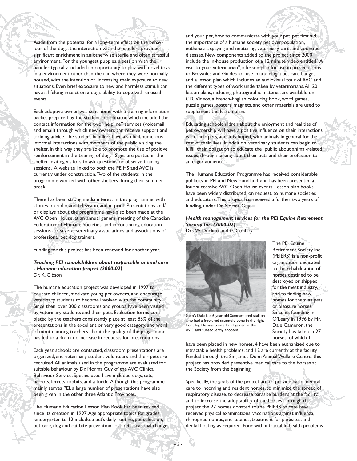Aside from the potential for a long-term effect on the behaviour of the dogs, the interaction with the handlers provided significant enrichment in an otherwise sterile and often stressful environment. For the youngest puppies, a session with the handler typically included an opportunity to play with novel toys in a environment other than the run where they were normally housed, with the intention of increasing their exposure to new situations. Even brief exposure to new and harmless stimuli can have a lifelong impact on a dog's ability to cope with unusual events.

Each adoptive owner was sent home with a training information packet prepared by the student coordinator, which included the contact information for the two "helpline" services (voicemail and email) through which new owners can receive support and training advice. The student handlers have also had numerous informal interactions with members of the public visiting the shelter. In this way they are able to promote the use of positive reinforcement in the training of dogs. Signs are posted in the shelter inviting visitors to ask questions or observe training sessions. A website linked to both the PEIHS and AVC is currently under construction. Two of the students in the programme worked with other shelters during their summer break.

There has been strong media interest in this programme, with stories on radio and television, and in print. Presentations and/ or displays about the programme have also been made at the AVC Open House, at an annual general meeting of the Canadian Federation of Humane Societies, and in continuing education sessions for several veterinary associations and associations of professional pet dog trainers.

Funding for this project has been renewed for another year.

#### *Teaching PEI schoolchildren about responsible animal care - Humane education project (2000-02)* Dr. K. Gibson

The humane education project was developed in 1997 to educate children, motivate young pet owners, and encourage veterinary students to become involved with the community. Since then, over 300 classrooms and groups have been visited by veterinary students and their pets. Evaluation forms completed by the teachers consistently place at least 85% of the presentations in the excellent or very good category, and word of mouth among teachers about the quality of the programme has led to a dramatic increase in requests for presentations.

Each year, schools are contacted, classroom presentations are organized, and veterinary student volunteers and their pets are recruited. All animals used in the programme are evaluated for suitable behaviour by Dr. Norma Guy of the AVC Clinical Behaviour Service. Species used have included dogs, cats, parrots, ferrets, rabbits, and a turtle. Although this programme mainly serves PEI, a large number of presentations have also been given in the other three Atlantic Provinces.

The Humane Education Lesson Plan Book has been revised since its creation in 1997. Age appropriate topics for grades kindergarten to 12 include: a pet's daily routine, pet selection, pet care, dog and cat bite prevention, lost pets, seasonal changes and your pet, how to communicate with your pet, pet first aid, the importance of a humane society, pet overpopulation, euthanasia, spaying and neutering, veterinary care, and zoonotic diseases. New components added to the project since 2000 include the in-house production of a 12 minute video entitled "A visit to your veterinarian", a lesson plan for use in presentations to Brownies and Guides for use in attaining a pet care badge, and a lesson plan which includes an audiovisual tour of AVC and the different types of work undertaken by veterinarians. All 20 lesson plans, including photographic material, are available on CD. Videos, a French-English colouring book, word games, puzzle games, posters, magnets, and other materials are used to supplement the lesson plans.

Educating schoolchildren about the enjoyment and realities of pet ownership will have a positive influence on their interactions with their pets, and, it is hoped, with animals in general for the rest of their lives. In addition, veterinary students can begin to fulfill their obligation to educate the public about animal-related issues, through talking about their pets and their profession to an eager audience.

The Humane Education Programme has received considerable publicity in PEI and Newfoundland, and has been presented at four successive AVC Open House events. Lesson plan books have been widely distributed, on request, to humane societies and educators. This project has received a further two years of funding, under Dr. Norma Guy.

*Health management services for the PEI Equine Retirement Society Inc. (2000-02)* Drs. W. Duckett and G. Conboy



Gem's Dale is a 6 year old Standardbred stallion who had a fractured sesamoid bone in the right front leg. He was treated and gelded at the AVC, and subsequently adopted.

- 5 -

have been placed in new homes, 4 have been euthanized due to intractable health problems, and 12 are currently at the facility. Funded through the Sir James Dunn Animal Welfare Centre, this project has provided preventive medical care to the horses at the Society from the beginning.

Specifically, the goals of the project are to provide basic medical care to incoming and resident horses, to minimize the spread of respiratory disease, to decrease parasite burdens at the facility, and to increase the adoptability of the horses. Through this project the 27 horses donated to the PEIERS to date have received physical examinations, vaccinations against influenza, rhinopneumonitis, and tetanus, treatment for parasites; and dental floating as required. Four with intractable health problems

(PEIERS) is a non-profit organization dedicated to the rehabilitation of horses destined to be destroyed or shipped for the meat industry, and to finding new homes for them as pets or pleasure horses. Since its founding in O'Leary in 1996 by Mr. Dale Cameron, the Society has taken in 27 horses, of which 11

The PEI Equine Retirement Society Inc.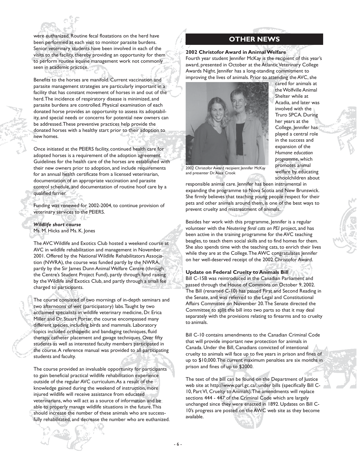were euthanized. Routine fecal floatations on the herd have been performed at each visit to monitor parasite burdens. Senior veterinary students have been involved in each of the visits to the facility, thereby providing an opportunity for them to perform routine equine management work not commonly seen in academic practice.

Benefits to the horses are manifold. Current vaccination and parasite management strategies are particularly important in a facility that has constant movement of horses in and out of the herd. The incidence of respiratory disease is minimized, and parasite burdens are controlled. Physical examination of each donated horse provides an opportunity to assess its adoptability, and special needs or concerns for potential new owners can be addressed. These preventive practices help provide the donated horses with a healthy start prior to their adoption to new homes.

Once initiated at the PEIERS facility, continued health care for adopted horses is a requirement of the adoption agreement. Guidelines for the health care of the horses are established with their new owners prior to adoption, and include requirements for an annual health certificate from a licensed veterinarian, documentation of an appropriate vaccination and parasite control schedule, and documentation of routine hoof care by a qualified farrier.

Funding was renewed for 2002-2004, to continue provision of veterinary services to the PEIERS.

# *Wildlife short course*

Ms. M. Hicks and Ms. K. Jones

The AVC Wildlife and Exotics Club hosted a weekend course at AVC in wildlife rehabilitation and management in November 2001. Offered by the National Wildlife Rehabilitators Association (NWRA), the course was funded partly by the NWRA, partly by the Sir James Dunn Animal Welfare Centre (through the Centre's Student Project Fund), partly through fund raising by the Wildlife and Exotics Club, and partly through a small fee charged to participants.

The course consisted of two mornings of in-depth seminars and two afternoons of wet (participatory) labs. Taught by two acclaimed specialists in wildlife veterinary medicine, Dr. Erica Miller and Dr. Stuart Porter, the course encompassed many different species, including birds and mammals. Laboratory topics included orthopedic and bandaging techniques, fluid therapy, catheter placement and gavage techniques. Over fifty students as well as interested faculty members participated in the course. A reference manual was provided to all participating students and faculty.

The course provided an invaluable opportunity for participants to gain beneficial practical wildlife rehabilitation experience outside of the regular AVC curriculum. As a result of the knowledge gained during the weekend of instruction, more injured wildlife will receive assistance from educated veterinarians, who will act as a source of information and be able to properly manage wildlife situations in the future. This should increase the number of these animals who are successfully rehabilitated, and decrease the number who are euthanized.

### **OTHER NEWS**

**2002 Christofor Award in Animal Welfare** Fourth year student Jennifer McKay is the recipient of this year's award, presented in October at the Atlantic Veterinary College Awards Night. Jennifer has a long-standing commitment to improving the lives of animals. Prior to attending the AVC, she



cared for animals at the Wolfville Animal Shelter while at Acadia, and later was involved with the Truro SPCA. During her years at the College, Jennifer has played a central role in the success and expansion of the *Humane education programme*, which promotes animal welfare by educating schoolchildren about

2002 Christofor Award recipient Jennifer McKay and presenter Dr. Alice Crook

responsible animal care. Jennifer has been instrumental in expanding the programme to Nova Scotia and New Brunswick. She firmly believes that teaching young people respect for their pets and other animals around them, is one of the best ways to prevent cruelty and mistreatment of animals.

Besides her work with this programme, Jennifer is a regular volunteer with the *Neutering feral cats on PEI* project, and has been active in the training programme for the AVC teaching beagles, to teach them social skills and to find homes for them. She also spends time with the teaching cats, to enrich their lives while they are at the College. The AWC congratulates Jennifer on her well-deserved receipt of the 2002 Christofor Award.

#### **Update on Federal Cruelty to Animals Bill**

Bill C-15B was reintroduced in the Canadian Parliament and passed through the House of Commons on October 9, 2002. The Bill (renamed C-10) has passed First and Second Reading in the Senate, and was referred to the Legal and Constitutional Affairs Committee on November 20. The Senate directed the Committee to split the bill into two parts so that it may deal separately with the provisions relating to firearms and to cruelty to animals.

Bill C-10 contains amendments to the Canadian Criminal Code that will provide important new protection for animals in Canada. Under the Bill, Canadians convicted of intentional cruelty to animals will face up to five years in prison and fines of up to \$10,000. The current maximum penalties are six months in prison and fines of up to \$2000.

The text of the bill can be found on the Department of Justice web site at http://www.parl.gc.ca/, under bills (specifically Bill C-10, Part VI, Cruelty to Animals). The amendments will replace sections 444 - 447 of the Criminal Code which are largely unchanged since they were enacted in 1892. Updates on Bill C-10's progress are posted on the AWC web site as they become available.